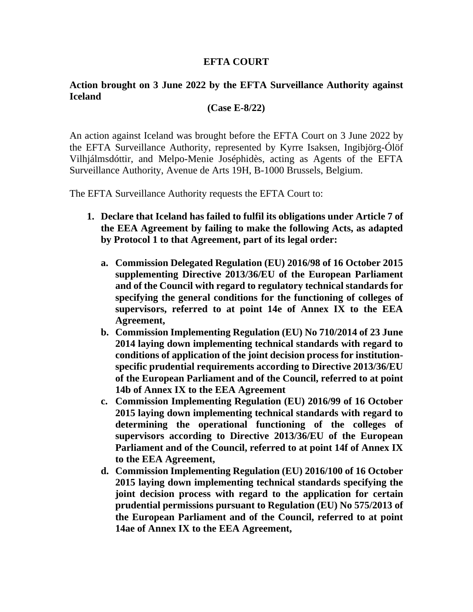## **EFTA COURT**

## **Action brought on 3 June 2022 by the EFTA Surveillance Authority against Iceland**

## **(Case E-8/22)**

An action against Iceland was brought before the EFTA Court on 3 June 2022 by the EFTA Surveillance Authority, represented by Kyrre Isaksen, Ingibjörg-Ólöf Vilhjálmsdóttir, and Melpo-Menie Joséphidès, acting as Agents of the EFTA Surveillance Authority, Avenue de Arts 19H, B-1000 Brussels, Belgium.

The EFTA Surveillance Authority requests the EFTA Court to:

- **1. Declare that Iceland has failed to fulfil its obligations under Article 7 of the EEA Agreement by failing to make the following Acts, as adapted by Protocol 1 to that Agreement, part of its legal order:** 
	- **a. Commission Delegated Regulation (EU) 2016/98 of 16 October 2015 supplementing Directive 2013/36/EU of the European Parliament and of the Council with regard to regulatory technical standards for specifying the general conditions for the functioning of colleges of supervisors, referred to at point 14e of Annex IX to the EEA Agreement,**
	- **b. Commission Implementing Regulation (EU) No 710/2014 of 23 June 2014 laying down implementing technical standards with regard to conditions of application of the joint decision process for institutionspecific prudential requirements according to Directive 2013/36/EU of the European Parliament and of the Council, referred to at point 14b of Annex IX to the EEA Agreement**
	- **c. Commission Implementing Regulation (EU) 2016/99 of 16 October 2015 laying down implementing technical standards with regard to determining the operational functioning of the colleges of supervisors according to Directive 2013/36/EU of the European Parliament and of the Council, referred to at point 14f of Annex IX to the EEA Agreement,**
	- **d. Commission Implementing Regulation (EU) 2016/100 of 16 October 2015 laying down implementing technical standards specifying the joint decision process with regard to the application for certain prudential permissions pursuant to Regulation (EU) No 575/2013 of the European Parliament and of the Council, referred to at point 14ae of Annex IX to the EEA Agreement,**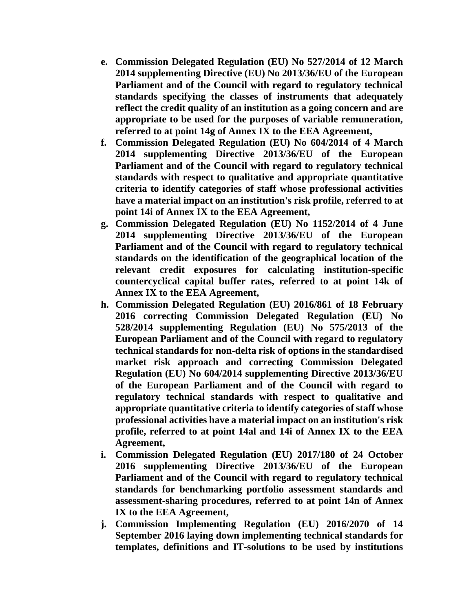- **e. Commission Delegated Regulation (EU) No 527/2014 of 12 March 2014 supplementing Directive (EU) No 2013/36/EU of the European Parliament and of the Council with regard to regulatory technical standards specifying the classes of instruments that adequately reflect the credit quality of an institution as a going concern and are appropriate to be used for the purposes of variable remuneration, referred to at point 14g of Annex IX to the EEA Agreement,**
- **f. Commission Delegated Regulation (EU) No 604/2014 of 4 March 2014 supplementing Directive 2013/36/EU of the European Parliament and of the Council with regard to regulatory technical standards with respect to qualitative and appropriate quantitative criteria to identify categories of staff whose professional activities have a material impact on an institution's risk profile, referred to at point 14i of Annex IX to the EEA Agreement,**
- **g. Commission Delegated Regulation (EU) No 1152/2014 of 4 June 2014 supplementing Directive 2013/36/EU of the European Parliament and of the Council with regard to regulatory technical standards on the identification of the geographical location of the relevant credit exposures for calculating institution-specific countercyclical capital buffer rates, referred to at point 14k of Annex IX to the EEA Agreement,**
- **h. Commission Delegated Regulation (EU) 2016/861 of 18 February 2016 correcting Commission Delegated Regulation (EU) No 528/2014 supplementing Regulation (EU) No 575/2013 of the European Parliament and of the Council with regard to regulatory technical standards for non-delta risk of options in the standardised market risk approach and correcting Commission Delegated Regulation (EU) No 604/2014 supplementing Directive 2013/36/EU of the European Parliament and of the Council with regard to regulatory technical standards with respect to qualitative and appropriate quantitative criteria to identify categories of staff whose professional activities have a material impact on an institution's risk profile, referred to at point 14al and 14i of Annex IX to the EEA Agreement,**
- **i. Commission Delegated Regulation (EU) 2017/180 of 24 October 2016 supplementing Directive 2013/36/EU of the European Parliament and of the Council with regard to regulatory technical standards for benchmarking portfolio assessment standards and assessment-sharing procedures, referred to at point 14n of Annex IX to the EEA Agreement,**
- **j. Commission Implementing Regulation (EU) 2016/2070 of 14 September 2016 laying down implementing technical standards for templates, definitions and IT-solutions to be used by institutions**